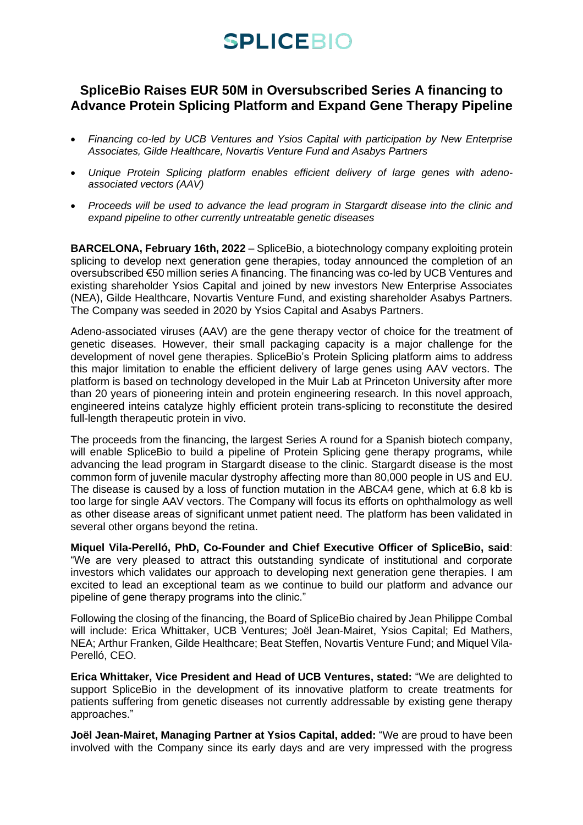# **SPLICEBIO**

# **SpliceBio Raises EUR 50M in Oversubscribed Series A financing to Advance Protein Splicing Platform and Expand Gene Therapy Pipeline**

- *Financing co-led by UCB Ventures and Ysios Capital with participation by New Enterprise Associates, Gilde Healthcare, Novartis Venture Fund and Asabys Partners*
- *Unique Protein Splicing platform enables efficient delivery of large genes with adenoassociated vectors (AAV)*
- *Proceeds will be used to advance the lead program in Stargardt disease into the clinic and expand pipeline to other currently untreatable genetic diseases*

**BARCELONA, February 16th, 2022** – SpliceBio, a biotechnology company exploiting protein splicing to develop next generation gene therapies, today announced the completion of an oversubscribed €50 million series A financing. The financing was co-led by UCB Ventures and existing shareholder Ysios Capital and joined by new investors New Enterprise Associates (NEA), Gilde Healthcare, Novartis Venture Fund, and existing shareholder Asabys Partners. The Company was seeded in 2020 by Ysios Capital and Asabys Partners.

Adeno-associated viruses (AAV) are the gene therapy vector of choice for the treatment of genetic diseases. However, their small packaging capacity is a major challenge for the development of novel gene therapies. SpliceBio's Protein Splicing platform aims to address this major limitation to enable the efficient delivery of large genes using AAV vectors. The platform is based on technology developed in the Muir Lab at Princeton University after more than 20 years of pioneering intein and protein engineering research. In this novel approach, engineered inteins catalyze highly efficient protein trans-splicing to reconstitute the desired full-length therapeutic protein in vivo.

The proceeds from the financing, the largest Series A round for a Spanish biotech company, will enable SpliceBio to build a pipeline of Protein Splicing gene therapy programs, while advancing the lead program in Stargardt disease to the clinic. Stargardt disease is the most common form of juvenile macular dystrophy affecting more than 80,000 people in US and EU. The disease is caused by a loss of function mutation in the ABCA4 gene, which at 6.8 kb is too large for single AAV vectors. The Company will focus its efforts on ophthalmology as well as other disease areas of significant unmet patient need. The platform has been validated in several other organs beyond the retina.

**Miquel Vila-Perelló, PhD, Co-Founder and Chief Executive Officer of SpliceBio, said**: "We are very pleased to attract this outstanding syndicate of institutional and corporate investors which validates our approach to developing next generation gene therapies. I am excited to lead an exceptional team as we continue to build our platform and advance our pipeline of gene therapy programs into the clinic."

Following the closing of the financing, the Board of SpliceBio chaired by Jean Philippe Combal will include: Erica Whittaker, UCB Ventures; Joël Jean-Mairet, Ysios Capital; Ed Mathers, NEA; Arthur Franken, Gilde Healthcare; Beat Steffen, Novartis Venture Fund; and Miquel Vila-Perelló, CEO.

**Erica Whittaker, Vice President and Head of UCB Ventures, stated:** "We are delighted to support SpliceBio in the development of its innovative platform to create treatments for patients suffering from genetic diseases not currently addressable by existing gene therapy approaches."

**Joël Jean-Mairet, Managing Partner at Ysios Capital, added:** "We are proud to have been involved with the Company since its early days and are very impressed with the progress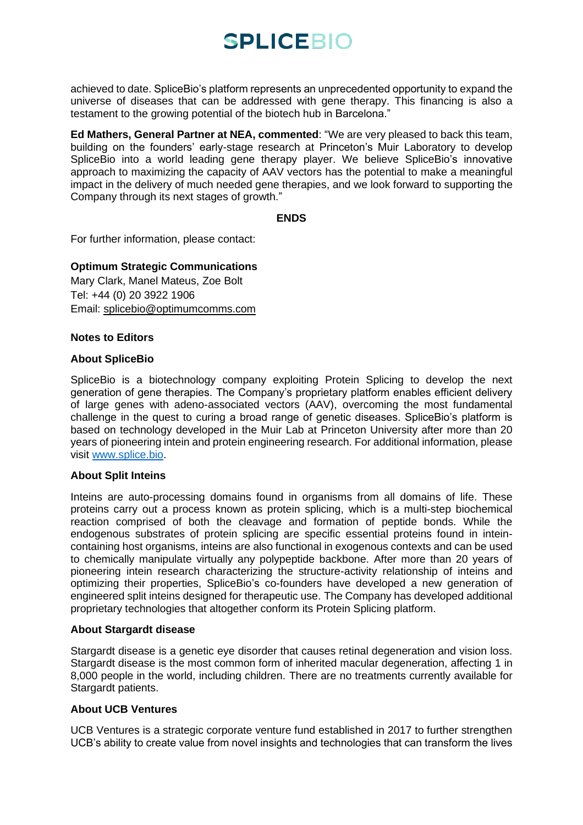# **SPLICEBIO**

achieved to date. SpliceBio's platform represents an unprecedented opportunity to expand the universe of diseases that can be addressed with gene therapy. This financing is also a testament to the growing potential of the biotech hub in Barcelona."

**Ed Mathers, General Partner at NEA, commented**: "We are very pleased to back this team, building on the founders' early-stage research at Princeton's Muir Laboratory to develop SpliceBio into a world leading gene therapy player. We believe SpliceBio's innovative approach to maximizing the capacity of AAV vectors has the potential to make a meaningful impact in the delivery of much needed gene therapies, and we look forward to supporting the Company through its next stages of growth."

**ENDS**

For further information, please contact:

**Optimum Strategic Communications**  Mary Clark, Manel Mateus, Zoe Bolt

Tel: +44 (0) 20 3922 1906 Email: [splicebio@optimumcomms.com](mailto:splicebio@optimumcomms.com)

# **Notes to Editors**

# **About SpliceBio**

SpliceBio is a biotechnology company exploiting Protein Splicing to develop the next generation of gene therapies. The Company's proprietary platform enables efficient delivery of large genes with adeno-associated vectors (AAV), overcoming the most fundamental challenge in the quest to curing a broad range of genetic diseases. SpliceBio's platform is based on technology developed in the Muir Lab at Princeton University after more than 20 years of pioneering intein and protein engineering research. For additional information, please visit [www.splice.bio.](http://www.splice.bio/)

# **About Split Inteins**

Inteins are auto-processing domains found in organisms from all domains of life. These proteins carry out a process known as protein splicing, which is a multi-step biochemical reaction comprised of both the cleavage and formation of peptide bonds. While the endogenous substrates of protein splicing are specific essential proteins found in inteincontaining host organisms, inteins are also functional in exogenous contexts and can be used to chemically manipulate virtually any polypeptide backbone. After more than 20 years of pioneering intein research characterizing the structure-activity relationship of inteins and optimizing their properties, SpliceBio's co-founders have developed a new generation of engineered split inteins designed for therapeutic use. The Company has developed additional proprietary technologies that altogether conform its Protein Splicing platform.

#### **About Stargardt disease**

Stargardt disease is a genetic eye disorder that causes retinal degeneration and vision loss. Stargardt disease is the most common form of inherited macular degeneration, affecting 1 in 8,000 people in the world, including children. There are no treatments currently available for Stargardt patients.

#### **About UCB Ventures**

UCB Ventures is a strategic corporate venture fund established in 2017 to further strengthen UCB's ability to create value from novel insights and technologies that can transform the lives